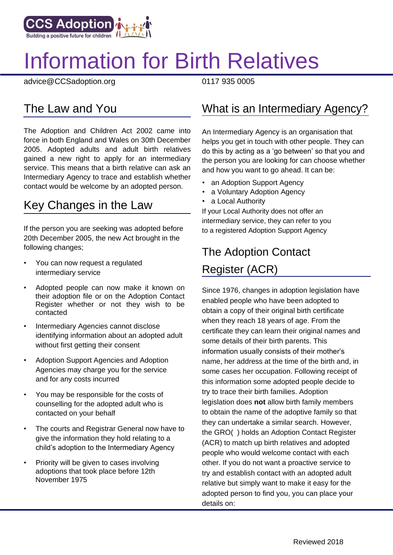

# Information for Birth Relatives

advice@CCSadoption.org 0117 935 0005

The Adoption and Children Act 2002 came into force in both England and Wales on 30th December 2005. Adopted adults and adult birth relatives gained a new right to apply for an intermediary service. This means that a birth relative can ask an Intermediary Agency to trace and establish whether contact would be welcome by an adopted person.

#### Key Changes in the Law

If the person you are seeking was adopted before 20th December 2005, the new Act brought in the following changes;

- You can now request a regulated intermediary service
- Adopted people can now make it known on their adoption file or on the Adoption Contact Register whether or not they wish to be contacted
- Intermediary Agencies cannot disclose identifying information about an adopted adult without first getting their consent
- Adoption Support Agencies and Adoption Agencies may charge you for the service and for any costs incurred
- You may be responsible for the costs of counselling for the adopted adult who is contacted on your behalf
- The courts and Registrar General now have to give the information they hold relating to a child's adoption to the Intermediary Agency
- Priority will be given to cases involving adoptions that took place before 12th November 1975

#### The Law and You **What is an Intermediary Agency?**

An Intermediary Agency is an organisation that helps you get in touch with other people. They can do this by acting as a 'go between' so that you and the person you are looking for can choose whether and how you want to go ahead. It can be:

- an Adoption Support Agency
- a Voluntary Adoption Agency
- a Local Authority

If your Local Authority does not offer an intermediary service, they can refer to you to a registered Adoption Support Agency

## The Adoption Contact Register (ACR)

Since 1976, changes in adoption legislation have enabled people who have been adopted to obtain a copy of their original birth certificate when they reach 18 years of age. From the certificate they can learn their original names and some details of their birth parents. This information usually consists of their mother's name, her address at the time of the birth and, in some cases her occupation. Following receipt of this information some adopted people decide to try to trace their birth families. Adoption legislation does **not** allow birth family members to obtain the name of the adoptive family so that they can undertake a similar search. However, the GRO( ) holds an Adoption Contact Register (ACR) to match up birth relatives and adopted people who would welcome contact with each other. If you do not want a proactive service to try and establish contact with an adopted adult relative but simply want to make it easy for the adopted person to find you, you can place your details on: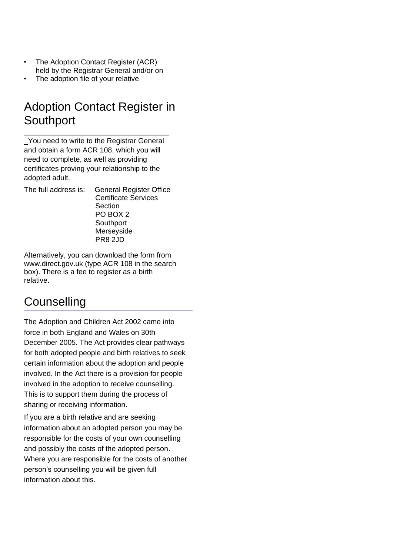- The Adoption Contact Register (ACR) held by the Registrar General and/or on
- The adoption file of your relative

#### Adoption Contact Register in **Southport** \_\_\_\_\_\_\_\_\_\_\_\_\_\_\_\_\_\_\_\_\_\_\_\_\_\_\_\_\_\_\_\_\_\_\_\_

You need to write to the Registrar General and obtain a form ACR 108, which you will need to complete, as well as providing certificates proving your relationship to the adopted adult.

The full address is: General Register Office Certificate Services **Section** PO BOX 2 **Southport** Merseyside

Alternatively, you can download the form from www.direct.gov.uk (type ACR 108 in the search box). There is a fee to register as a birth relative.

PR8 2JD

#### **Counselling**

The Adoption and Children Act 2002 came into force in both England and Wales on 30th December 2005. The Act provides clear pathways for both adopted people and birth relatives to seek certain information about the adoption and people involved. In the Act there is a provision for people involved in the adoption to receive counselling. This is to support them during the process of sharing or receiving information.

If you are a birth relative and are seeking information about an adopted person you may be responsible for the costs of your own counselling and possibly the costs of the adopted person. Where you are responsible for the costs of another person's counselling you will be given full information about this.